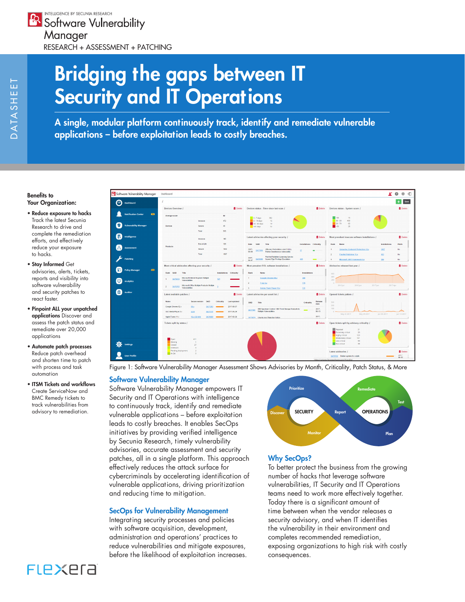INTELLIGENCE BY SECUNIA RESEARCH **Software Vulnerability** Manager RESEARCH + ASSESSMENT + PATCHING

# Bridging the gaps between IT Security and IT Operations

A single, modular platform continuously track, identify and remediate vulnerable applications – before exploitation leads to costly breaches.

#### Benefits to Your Organization:

- Reduce exposure to hacks Track the latest Secunia Research to drive and complete the remediation efforts, and effectively reduce your exposure to hacks.
- Stay Informed Get advisories, alerts, tickets, reports and visibility into software vulnerability and security patches to react faster.
- Pinpoint ALL your unpatched applications Discover and assess the patch status and remediate over 20,000 applications
- Automate patch processes Reduce patch overhead and shorten time to patch with process and task automation
- ITSM Tickets and workflows Create ServiceNow and BMC Remedy tickets to track vulnerabilities from



Figure 1: Software Vulnerability Manager Assessment Shows Advisories by Month, Criticality, Patch Status, & More

## Software Vulnerability Manager

Software Vulnerability Manager empowers IT Security and IT Operations with intelligence to continuously track, identify and remediate advisory to remediation. vulnerable applications – before exploitation **SECURITY** SECURITY Report OPERATIONS leads to costly breaches. It enables SecOps initiatives by providing verified intelligence by Secunia Research, timely vulnerability advisories, accurate assessment and security patches, all in a single platform. This approach effectively reduces the attack surface for cybercriminals by accelerating identification of vulnerable applications, driving prioritization and reducing time to mitigation.

#### SecOps for Vulnerability Management

Integrating security processes and policies with software acquisition, development, administration and operations' practices to reduce vulnerabilities and mitigate exposures, before the likelihood of exploitation increases.



## Why SecOps?

To better protect the business from the growing number of hacks that leverage software vulnerabilities, IT Security and IT Operations teams need to work more effectively together. Today there is a significant amount of time between when the vendor releases a security advisory, and when IT identifies the vulnerability in their environment and completes recommended remediation, exposing organizations to high risk with costly consequences.

# FLEXER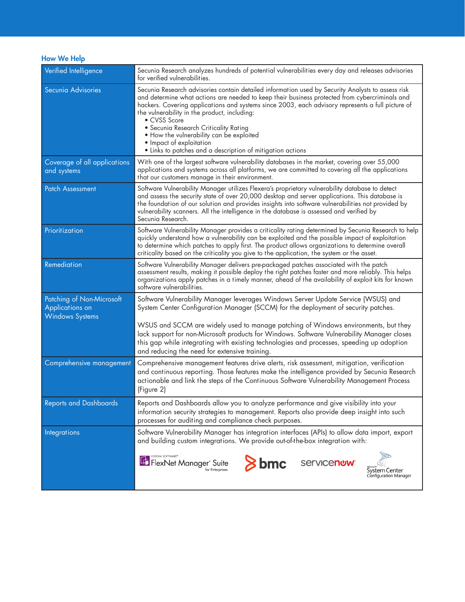How We Help

| Verified Intelligence                                                  | Secunia Research analyzes hundreds of potential vulnerabilities every day and releases advisories<br>for verified vulnerabilities.                                                                                                                                                                                                                                                                                                                                                                                                                      |
|------------------------------------------------------------------------|---------------------------------------------------------------------------------------------------------------------------------------------------------------------------------------------------------------------------------------------------------------------------------------------------------------------------------------------------------------------------------------------------------------------------------------------------------------------------------------------------------------------------------------------------------|
| Secunia Advisories                                                     | Secunia Research advisories contain detailed information used by Security Analysts to assess risk<br>and determine what actions are needed to keep their business protected from cybercriminals and<br>hackers. Covering applications and systems since 2003, each advisory represents a full picture of<br>the vulnerability in the product, including:<br>• CVSS Score<br>· Secunia Research Criticality Rating<br>. How the vulnerability can be exploited<br>• Impact of exploitation<br>• Links to patches and a description of mitigation actions |
| Coverage of all applications<br>and systems                            | With one of the largest software vulnerability databases in the market, covering over 55,000<br>applications and systems across all platforms, we are committed to covering all the applications<br>that our customers manage in their environment.                                                                                                                                                                                                                                                                                                     |
| <b>Patch Assessment</b>                                                | Software Vulnerability Manager utilizes Flexera's proprietary vulnerability database to detect<br>and assess the security state of over 20,000 desktop and server applications. This database is<br>the foundation of our solution and provides insights into software vulnerabilities not provided by<br>vulnerability scanners. All the intelligence in the database is assessed and verified by<br>Secunia Research.                                                                                                                                 |
| Prioritization                                                         | Software Vulnerability Manager provides a criticality rating determined by Secunia Research to help<br>quickly understand how a vulnerability can be exploited and the possible impact of exploitation<br>to determine which patches to apply first. The product allows organizations to determine overall<br>criticality based on the criticality you give to the application, the system or the asset.                                                                                                                                                |
| Remediation                                                            | Software Vulnerability Manager delivers pre-packaged patches associated with the patch<br>assessment results, making it possible deploy the right patches faster and more reliably. This helps<br>organizations apply patches in a timely manner, ahead of the availability of exploit kits for known<br>software vulnerabilities.                                                                                                                                                                                                                      |
| Patching of Non-Microsoft<br>Applications on<br><b>Windows Systems</b> | Software Vulnerability Manager leverages Windows Server Update Service (WSUS) and<br>System Center Configuration Manager (SCCM) for the deployment of security patches.<br>WSUS and SCCM are widely used to manage patching of Windows environments, but they<br>lack support for non-Microsoft products for Windows. Software Vulnerability Manager closes<br>this gap while integrating with existing technologies and processes, speeding up adoption<br>and reducing the need for extensive training.                                               |
| Comprehensive management                                               | Comprehensive management features drive alerts, risk assessment, mitigation, verification<br>and continuous reporting. Those features make the intelligence provided by Secunia Research<br>actionable and link the steps of the Continuous Software Vulnerability Management Process<br>(Figure 2)                                                                                                                                                                                                                                                     |
| <b>Reports and Dashboards</b>                                          | Reports and Dashboards allow you to analyze performance and give visibility into your<br>information security strategies to management. Reports also provide deep insight into such<br>processes for auditing and compliance check purposes.                                                                                                                                                                                                                                                                                                            |
| <b>Integrations</b>                                                    | Software Vulnerability Manager has integration interfaces (APIs) to allow data import, export<br>and building custom integrations. We provide out-of-the-box integration with:                                                                                                                                                                                                                                                                                                                                                                          |
|                                                                        | $\geq$ bmc<br><b>Servicenow</b><br>FlexNet Manager <sup>®</sup> Suite<br>for Enterprises<br>System Center<br>Configuration Manager                                                                                                                                                                                                                                                                                                                                                                                                                      |